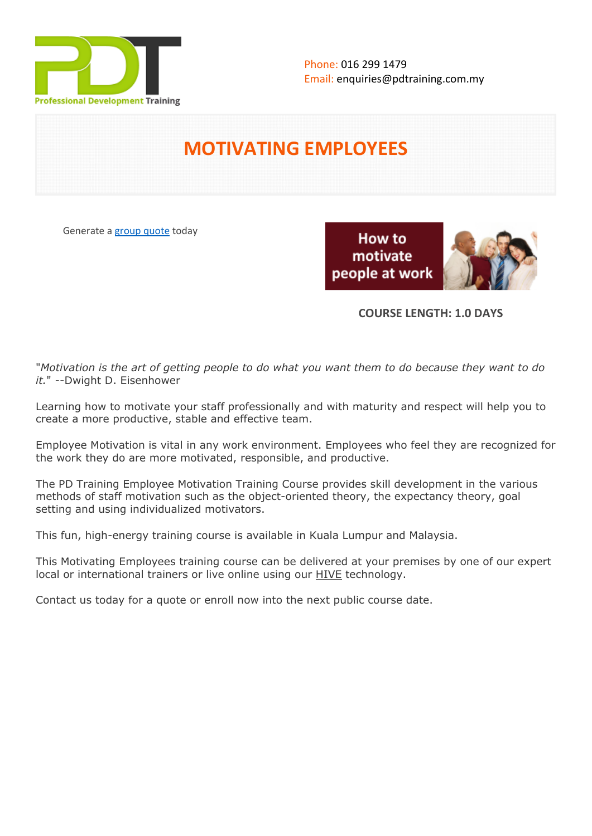

# **MOTIVATING EMPLOYEES**

Generate a [group quote](https://pdtraining.com.my/inhouse-training-quote?cse=PDT0016) today

How to motivate people at work



### **COURSE LENGTH: 1.0 DAYS**

"*Motivation is the art of getting people to do what you want them to do because they want to do it.*" --Dwight D. Eisenhower

Learning how to motivate your staff professionally and with maturity and respect will help you to create a more productive, stable and effective team.

Employee Motivation is vital in any work environment. Employees who feel they are recognized for the work they do are more motivated, responsible, and productive.

The PD Training Employee Motivation Training Course provides skill development in the various methods of staff motivation such as the object-oriented theory, the expectancy theory, goal setting and using individualized motivators.

This fun, high-energy training course is available in Kuala Lumpur and Malaysia.

This Motivating Employees training course can be delivered at your premises by one of our expert local or international trainers or live online using our HIVE technology.

Contact us today for a quote or enroll now into the next public course date.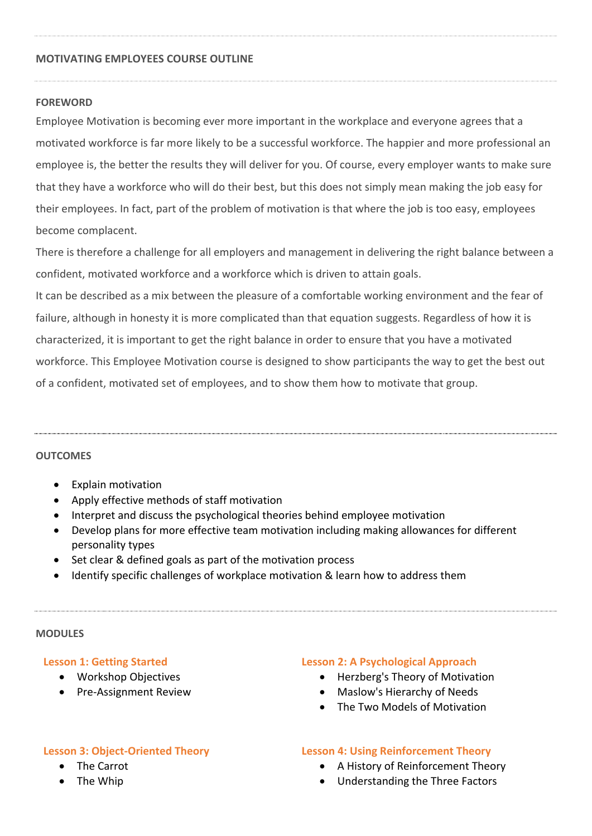#### **MOTIVATING EMPLOYEES COURSE OUTLINE**

#### **FOREWORD**

Employee Motivation is becoming ever more important in the workplace and everyone agrees that a motivated workforce is far more likely to be a successful workforce. The happier and more professional an employee is, the better the results they will deliver for you. Of course, every employer wants to make sure that they have a workforce who will do their best, but this does not simply mean making the job easy for their employees. In fact, part of the problem of motivation is that where the job is too easy, employees become complacent.

There is therefore a challenge for all employers and management in delivering the right balance between a confident, motivated workforce and a workforce which is driven to attain goals.

It can be described as a mix between the pleasure of a comfortable working environment and the fear of failure, although in honesty it is more complicated than that equation suggests. Regardless of how it is characterized, it is important to get the right balance in order to ensure that you have a motivated workforce. This Employee Motivation course is designed to show participants the way to get the best out of a confident, motivated set of employees, and to show them how to motivate that group.

#### **OUTCOMES**

- Explain motivation
- Apply effective methods of staff motivation
- Interpret and discuss the psychological theories behind employee motivation
- Develop plans for more effective team motivation including making allowances for different personality types
- Set clear & defined goals as part of the motivation process
- Identify specific challenges of workplace motivation & learn how to address them

#### **MODULES**

#### **Lesson 1: Getting Started**

- Workshop Objectives
- Pre-Assignment Review

#### **Lesson 2: A Psychological Approach**

- Herzberg's Theory of Motivation
- Maslow's Hierarchy of Needs
- The Two Models of Motivation

#### **Lesson 3: Object-Oriented Theory**

- The Carrot
- The Whip

#### **Lesson 4: Using Reinforcement Theory**

- A History of Reinforcement Theory
- Understanding the Three Factors